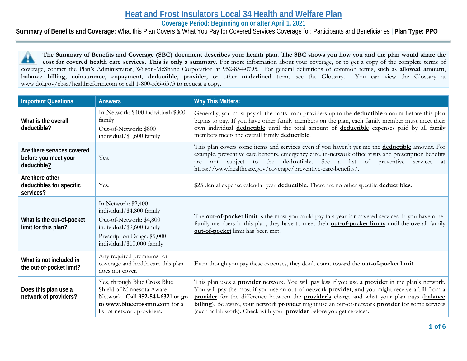# **Heat and Frost Insulators Local 34 Health and Welfare Plan**

**Coverage Period: Beginning on or after April 1, 2021**

**Summary of Benefits and Coverage:** What this Plan Covers & What You Pay for Covered Services Coverage for: Participants and Beneficiaries | **Plan Type: PPO**

**The Summary of Benefits and Coverage (SBC) document describes your health plan. The SBC shows you how you and the plan would share the**  44 **cost for covered health care services. This is only a summary.** For more information about your coverage, or to get a copy of the complete terms of coverage, contact the Plan's Administrator, Wilson-McShane Corporation at 952-854-0795. For general definitions of common terms, such as **allowed amount**, **balance billing**, **coinsurance**, **copayment**, **deductible**, **provider**, or other **underlined** terms see the Glossary. You can view the Glossary at www.dol.gov/ebsa/healthreform.com or call 1-800-535-6373 to request a copy.

| <b>Important Questions</b>                                        | <b>Answers</b>                                                                                                                                                        | <b>Why This Matters:</b>                                                                                                                                                                                                                                                                                                                                                                                                                                                                                      |
|-------------------------------------------------------------------|-----------------------------------------------------------------------------------------------------------------------------------------------------------------------|---------------------------------------------------------------------------------------------------------------------------------------------------------------------------------------------------------------------------------------------------------------------------------------------------------------------------------------------------------------------------------------------------------------------------------------------------------------------------------------------------------------|
| What is the overall<br>deductible?                                | In-Network: \$400 individual/\$800<br>family<br>Out-of-Network: \$800<br>individual/\$1,600 family                                                                    | Generally, you must pay all the costs from providers up to the <b>deductible</b> amount before this plan<br>begins to pay. If you have other family members on the plan, each family member must meet their<br>own individual deductible until the total amount of deductible expenses paid by all family<br>members meets the overall family deductible.                                                                                                                                                     |
| Are there services covered<br>before you meet your<br>deductible? | Yes.                                                                                                                                                                  | This plan covers some items and services even if you haven't yet me the <b>deductible</b> amount. For<br>example, preventive care benefits, emergency care, in-network office visits and prescription benefits<br>the <b>deductible</b> . See a list of preventive services<br>subject<br>to<br>not<br>are<br>at<br>https://www.healthcare.gov/coverage/preventive-care-benefits/.                                                                                                                            |
| Are there other<br>deductibles for specific<br>services?          | Yes.                                                                                                                                                                  | \$25 dental expense calendar year deductible. There are no other specific deductibles.                                                                                                                                                                                                                                                                                                                                                                                                                        |
| What is the out-of-pocket<br>limit for this plan?                 | In Network: \$2,400<br>individual/\$4,800 family<br>Out-of-Network: \$4,800<br>individual/\$9,600 family<br>Prescription Drugs: \$5,000<br>individual/\$10,000 family | The <b>out-of-pocket limit</b> is the most you could pay in a year for covered services. If you have other<br>family members in this plan, they have to meet their <b>out-of-pocket limits</b> until the overall family<br>out-of-pocket limit has been met.                                                                                                                                                                                                                                                  |
| What is not included in<br>the out-of-pocket limit?               | Any required premiums for<br>coverage and health care this plan<br>does not cover.                                                                                    | Even though you pay these expenses, they don't count toward the <b>out-of-pocket limit</b> .                                                                                                                                                                                                                                                                                                                                                                                                                  |
| Does this plan use a<br>network of providers?                     | Yes, through Blue Cross Blue<br>Shield of Minnesota Aware<br>Network. Call 952-541-6321 or go<br>to www.bluecrossmn.com for a<br>list of network providers.           | This plan uses a <b>provider</b> network. You will pay less if you use a <b>provider</b> in the plan's network.<br>You will pay the most if you use an out-of-network <b>provider</b> , and you might receive a bill from a<br>provider for the difference between the provider's charge and what your plan pays (balance<br>billing). Be aware, your network provider might use an out-of-network provider for some services<br>(such as lab work). Check with your <b>provider</b> before you get services. |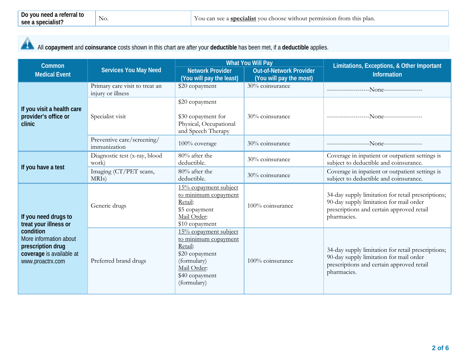# All **copayment** and **coinsurance** costs shown in this chart are after your **deductible** has been met, if a **deductible** applies.

| Common                                                                                                   |                                                     | <b>What You Will Pay</b>                                                                                                                  |                                                           | Limitations, Exceptions, & Other Important                                                                                                                |  |
|----------------------------------------------------------------------------------------------------------|-----------------------------------------------------|-------------------------------------------------------------------------------------------------------------------------------------------|-----------------------------------------------------------|-----------------------------------------------------------------------------------------------------------------------------------------------------------|--|
| <b>Medical Event</b>                                                                                     | <b>Services You May Need</b>                        | <b>Network Provider</b><br>(You will pay the least)                                                                                       | <b>Out-of-Network Provider</b><br>(You will pay the most) | Information                                                                                                                                               |  |
|                                                                                                          | Primary care visit to treat an<br>injury or illness | \$20 copayment                                                                                                                            | 30% coinsurance                                           |                                                                                                                                                           |  |
| If you visit a health care<br>provider's office or<br>clinic                                             | Specialist visit                                    | \$20 copayment<br>\$30 copayment for<br>Physical, Occupational<br>and Speech Therapy                                                      | 30% coinsurance                                           |                                                                                                                                                           |  |
|                                                                                                          | Preventive care/screening/<br>immunization          | 100% coverage                                                                                                                             | 30% coinsurance                                           |                                                                                                                                                           |  |
| If you have a test                                                                                       | Diagnostic test (x-ray, blood<br>work)              | 80% after the<br>deductible.                                                                                                              | 30% coinsurance                                           | Coverage in inpatient or outpatient settings is<br>subject to deductible and coinsurance.                                                                 |  |
|                                                                                                          | Imaging (CT/PET scans,<br>MRI <sub>s</sub> )        | 80% after the<br>deductible.                                                                                                              | 30% coinsurance                                           | Coverage in inpatient or outpatient settings is<br>subject to deductible and coinsurance.                                                                 |  |
| If you need drugs to<br>treat your illness or                                                            | Generic drugs                                       | 15% copayment subject<br>to minimum copayment<br>Retail:<br>\$5 copayment<br>Mail Order:<br>\$10 copayment                                | 100% coinsurance                                          | 34-day supply limitation for retail prescriptions;<br>90-day supply limitation for mail order<br>prescriptions and certain approved retail<br>pharmacies. |  |
| condition<br>More information about<br>prescription drug<br>coverage is available at<br>www.proactrx.com | Preferred brand drugs                               | 15% copayment subject<br>to minimum copayment<br>Retail:<br>\$20 copayment<br>(formulary)<br>Mail Order:<br>\$40 copayment<br>(formulary) | 100% coinsurance                                          | 34-day supply limitation for retail prescriptions;<br>90-day supply limitation for mail order<br>prescriptions and certain approved retail<br>pharmacies. |  |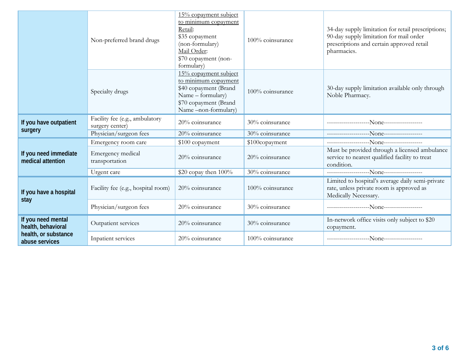|                                            | Non-preferred brand drugs                         | 15% copayment subject<br>to minimum copayment<br>Retail:<br>\$35 copayment<br>(non-formulary)<br>Mail Order:<br>\$70 copayment (non-<br>formulary) | 100% coinsurance | 34-day supply limitation for retail prescriptions;<br>90-day supply limitation for mail order<br>prescriptions and certain approved retail<br>pharmacies. |
|--------------------------------------------|---------------------------------------------------|----------------------------------------------------------------------------------------------------------------------------------------------------|------------------|-----------------------------------------------------------------------------------------------------------------------------------------------------------|
|                                            | Specialty drugs                                   | 15% copayment subject<br>to minimum copayment<br>\$40 copayment (Brand<br>Name - formulary)<br>\$70 copayment (Brand<br>Name-non-formulary)        | 100% coinsurance | 30-day supply limitation available only through<br>Noble Pharmacy.                                                                                        |
| If you have outpatient                     | Facility fee (e.g., ambulatory<br>surgery center) | 20% coinsurance                                                                                                                                    | 30% coinsurance  |                                                                                                                                                           |
| surgery                                    | Physician/surgeon fees                            | 20% coinsurance                                                                                                                                    | 30% coinsurance  |                                                                                                                                                           |
|                                            | Emergency room care                               | \$100 copayment                                                                                                                                    | \$100copayment   |                                                                                                                                                           |
| If you need immediate<br>medical attention | Emergency medical<br>transportation               | 20% coinsurance                                                                                                                                    | 20% coinsurance  | Must be provided through a licensed ambulance<br>service to nearest qualified facility to treat<br>condition.                                             |
|                                            | Urgent care                                       | \$20 copay then 100%                                                                                                                               | 30% coinsurance  |                                                                                                                                                           |
| If you have a hospital<br>stay             | Facility fee (e.g., hospital room)                | 20% coinsurance                                                                                                                                    | 100% coinsurance | Limited to hospital's average daily semi-private<br>rate, unless private room is approved as<br>Medically Necessary.                                      |
|                                            | Physician/surgeon fees                            | 20% coinsurance                                                                                                                                    | 30% coinsurance  |                                                                                                                                                           |
| If you need mental<br>health, behavioral   | Outpatient services                               | 20% coinsurance                                                                                                                                    | 30% coinsurance  | In-network office visits only subject to \$20<br>copayment.                                                                                               |
| health, or substance<br>abuse services     | Inpatient services                                | 20% coinsurance                                                                                                                                    | 100% coinsurance |                                                                                                                                                           |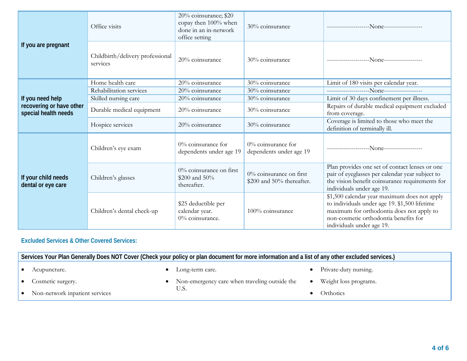|                                                  | Office visits                                | 20% coinsurance; \$20<br>copay then 100% when<br>done in an in-network<br>office setting | 30% coinsurance                                         |                                                                                                                                                                                                                  |
|--------------------------------------------------|----------------------------------------------|------------------------------------------------------------------------------------------|---------------------------------------------------------|------------------------------------------------------------------------------------------------------------------------------------------------------------------------------------------------------------------|
| If you are pregnant                              | Childbirth/delivery professional<br>services | 20% coinsurance                                                                          | 30% coinsurance                                         |                                                                                                                                                                                                                  |
|                                                  | Home health care                             | 20% coinsurance                                                                          | 30% coinsurance                                         | Limit of 180 visits per calendar year.                                                                                                                                                                           |
|                                                  | Rehabilitation services                      | 20% coinsurance                                                                          | 30% coinsurance                                         |                                                                                                                                                                                                                  |
| If you need help                                 | Skilled nursing care                         | 20% coinsurance                                                                          | 30% coinsurance                                         | Limit of 30 days confinement per illness.                                                                                                                                                                        |
| recovering or have other<br>special health needs | Durable medical equipment                    | 20% coinsurance                                                                          | 30% coinsurance                                         | Repairs of durable medical equipment excluded<br>from coverage.                                                                                                                                                  |
|                                                  | Hospice services                             | 20% coinsurance                                                                          | 30% coinsurance                                         | Coverage is limited to those who meet the<br>definition of terminally ill.                                                                                                                                       |
|                                                  | Children's eye exam                          | $0\%$ coinsurance for<br>dependents under age 19                                         | $0\%$ coinsurance for<br>dependents under age 19        |                                                                                                                                                                                                                  |
| If your child needs<br>dental or eye care        | Children's glasses                           | $0\%$ coinsurance on first<br>\$200 and 50%<br>thereafter.                               | $0\%$ coinsurance on first<br>\$200 and 50% thereafter. | Plan provides one set of contact lenses or one<br>pair of eyeglasses per calendar year subject to<br>the vision benefit coinsurance requirements for<br>individuals under age 19.                                |
|                                                  | Children's dental check-up                   | \$25 deductible per<br>calendar year.<br>0% coinsurance.                                 | 100% coinsurance                                        | \$1,500 calendar year maximum does not apply<br>to individuals under age 19. \$1,500 lifetime<br>maximum for orthodontia does not apply to<br>non-cosmetic orthodontia benefits for<br>individuals under age 19. |

# **Excluded Services & Other Covered Services:**

**Services Your Plan Generally Does NOT Cover (Check your policy or plan document for more information and a list of any other excluded services.)** • Acupuncture. • Cosmetic surgery. • Non-network inpatient services • Long-term care. • Non-emergency care when traveling outside the U.S. • Private-duty nursing. • Weight loss programs. • Orthotics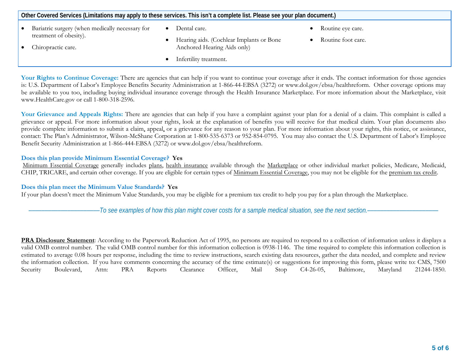| Other Covered Services (Limitations may apply to these services. This isn't a complete list. Please see your plan document.) |  |                                          |  |                    |  |
|------------------------------------------------------------------------------------------------------------------------------|--|------------------------------------------|--|--------------------|--|
| Bariatric surgery (when medically necessary for                                                                              |  | Dental care.                             |  | Routine eye care.  |  |
| treatment of obesity).                                                                                                       |  | Hearing aids. (Cochlear Implants or Bone |  | Routine foot care. |  |
| Chiropractic care.                                                                                                           |  | Anchored Hearing Aids only)              |  |                    |  |
|                                                                                                                              |  | Infertility treatment.                   |  |                    |  |

Your Rights to Continue Coverage: There are agencies that can help if you want to continue your coverage after it ends. The contact information for those agencies is: U.S. Department of Labor's Employee Benefits Security Administration at 1-866-44-EBSA (3272) or www.dol.gov/ebsa/healthreform. Other coverage options may be available to you too, including buying individual insurance coverage through the Health Insurance Marketplace. For more information about the Marketplace, visit www.HealthCare.gov or call 1-800-318-2596.

Your Grievance and Appeals Rights: There are agencies that can help if you have a complaint against your plan for a denial of a claim. This complaint is called a grievance or appeal. For more information about your rights, look at the explanation of benefits you will receive for that medical claim. Your plan documents also provide complete information to submit a claim, appeal, or a grievance for any reason to your plan. For more information about your rights, this notice, or assistance, contact: The Plan's Administrator, Wilson-McShane Corporation at 1-800-535-6373 or 952-854-0795. You may also contact the U.S. Department of Labor's Employee Benefit Security Administration at 1-866-444-EBSA (3272) or www.dol.gov/ebsa/healthreform.

#### **Does this plan provide Minimum Essential Coverage? Yes**

Minimum Essential Coverage generally includes plans, health insurance available through the Marketplace or other individual market policies, Medicare, Medicaid, CHIP, TRICARE, and certain other coverage. If you are eligible for certain types of Minimum Essential Coverage, you may not be eligible for the premium tax credit.

#### **Does this plan meet the Minimum Value Standards? Yes**

If your plan doesn't meet the Minimum Value Standards, you may be eligible for a premium tax credit to help you pay for a plan through the Marketplace.

––––––––––––––––––––––*To see examples of how this plan might cover costs for a sample medical situation, see the next section.–––––––––––*–––––––––––

**PRA Disclosure Statement**: According to the Paperwork Reduction Act of 1995, no persons are required to respond to a collection of information unless it displays a valid OMB control number. The valid OMB control number for this information collection is 0938-1146. The time required to complete this information collection is estimated to average 0.08 hours per response, including the time to review instructions, search existing data resources, gather the data needed, and complete and review the information collection. If you have comments concerning the accuracy of the time estimate(s) or suggestions for improving this form, please write to: CMS, 7500 Security Boulevard, Attn: PRA Reports Clearance Officer, Mail Stop C4-26-05, Baltimore, Maryland 21244-1850.